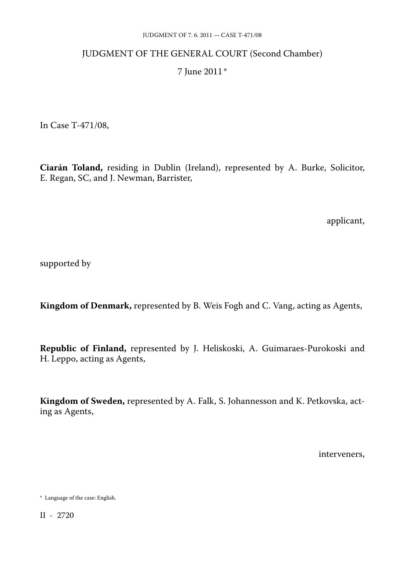## JUDGMENT OF THE GENERAL COURT (Second Chamber)

## 7 June 2011\*

In Case T-471/08,

**Ciarán Toland,** residing in Dublin (Ireland), represented by A. Burke, Solicitor, E. Regan, SC, and J. Newman, Barrister,

applicant,

supported by

**Kingdom of Denmark,** represented by B. Weis Fogh and C. Vang, acting as Agents,

**Republic of Finland,** represented by J. Heliskoski, A. Guimaraes-Purokoski and H. Leppo, acting as Agents,

**Kingdom of Sweden,** represented by A. Falk, S. Johannesson and K. Petkovska, act ing as Agents,

interveners,

<sup>\*</sup> Language of the case: English.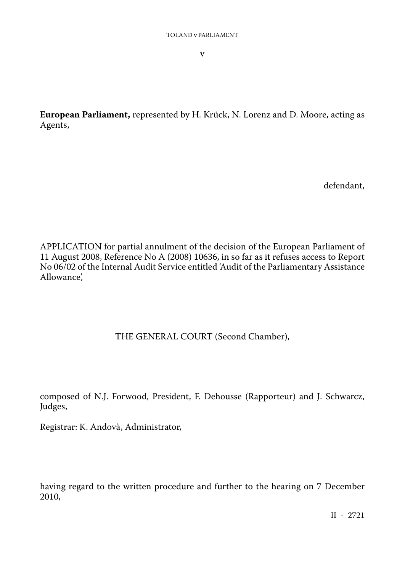v

**European Parliament,** represented by H. Krück, N. Lorenz and D. Moore, acting as Agents,

defendant,

APPLICATION for partial annulment of the decision of the European Parliament of 11 August 2008, Reference No A (2008) 10636, in so far as it refuses access to Report No 06/02 of the Internal Audit Service entitled 'Audit of the Parliamentary Assistance Allowance',

# THE GENERAL COURT (Second Chamber),

composed of N.J. Forwood, President, F. Dehousse (Rapporteur) and J. Schwarcz, Judges,

Registrar: K. Andovà, Administrator,

having regard to the written procedure and further to the hearing on 7 December 2010,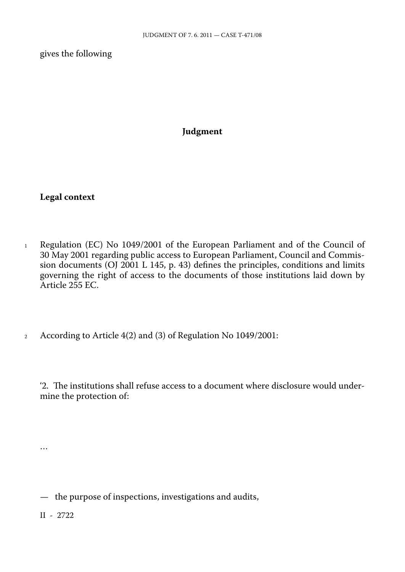gives the following

## **Judgment**

**Legal context**

- <sup>1</sup> Regulation (EC) No 1049/2001 of the European Parliament and of the Council of 30 May 2001 regarding public access to European Parliament, Council and Commis sion documents (OJ 2001 L 145, p. 43) defines the principles, conditions and limits governing the right of access to the documents of those institutions laid down by Article 255 EC.
- <sup>2</sup> According to Article 4(2) and (3) of Regulation No 1049/2001:

'2. The institutions shall refuse access to a document where disclosure would under mine the protection of:

— the purpose of inspections, investigations and audits,

II - 2722

…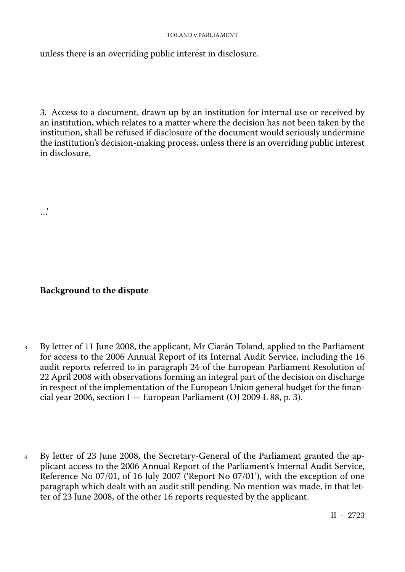unless there is an overriding public interest in disclosure.

3. Access to a document, drawn up by an institution for internal use or received by an institution, which relates to a matter where the decision has not been taken by the institution, shall be refused if disclosure of the document would seriously undermine the institution's decision-making process, unless there is an overriding public interest in disclosure.

**Background to the dispute**

…'

- <sup>3</sup> By letter of 11 June 2008, the applicant, Mr Ciarán Toland, applied to the Parliament for access to the 2006 Annual Report of its Internal Audit Service, including the 16 audit reports referred to in paragraph 24 of the European Parliament Resolution of 22 April 2008 with observations forming an integral part of the decision on discharge in respect of the implementation of the European Union general budget for the finan cial year 2006, section I — European Parliament (OJ 2009 L 88, p. 3).
- <sup>4</sup> By letter of 23 June 2008, the Secretary-General of the Parliament granted the ap plicant access to the 2006 Annual Report of the Parliament's Internal Audit Service, Reference No 07/01, of 16 July 2007 ('Report No 07/01'), with the exception of one paragraph which dealt with an audit still pending. No mention was made, in that let ter of 23 June 2008, of the other 16 reports requested by the applicant.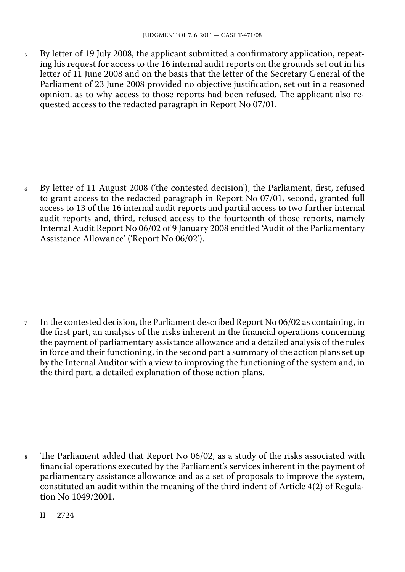<sup>5</sup> By letter of 19 July 2008, the applicant submitted a confirmatory application, repeat ing his request for access to the 16 internal audit reports on the grounds set out in his letter of 11 June 2008 and on the basis that the letter of the Secretary General of the Parliament of 23 June 2008 provided no objective justification, set out in a reasoned opinion, as to why access to those reports had been refused. The applicant also re quested access to the redacted paragraph in Report No 07/01.

<sup>6</sup> By letter of 11 August 2008 ('the contested decision'), the Parliament, first, refused to grant access to the redacted paragraph in Report No 07/01, second, granted full access to 13 of the 16 internal audit reports and partial access to two further internal audit reports and, third, refused access to the fourteenth of those reports, namely Internal Audit Report No 06/02 of 9 January 2008 entitled 'Audit of the Parliamentary Assistance Allowance' ('Report No 06/02').

 $\tau$  In the contested decision, the Parliament described Report No 06/02 as containing, in the first part, an analysis of the risks inherent in the financial operations concerning the payment of parliamentary assistance allowance and a detailed analysis of the rules in force and their functioning, in the second part a summary of the action plans set up by the Internal Auditor with a view to improving the functioning of the system and, in the third part, a detailed explanation of those action plans.

<sup>8</sup> The Parliament added that Report No 06/02, as a study of the risks associated with financial operations executed by the Parliament's services inherent in the payment of parliamentary assistance allowance and as a set of proposals to improve the system, constituted an audit within the meaning of the third indent of Article 4(2) of Regula tion No 1049/2001.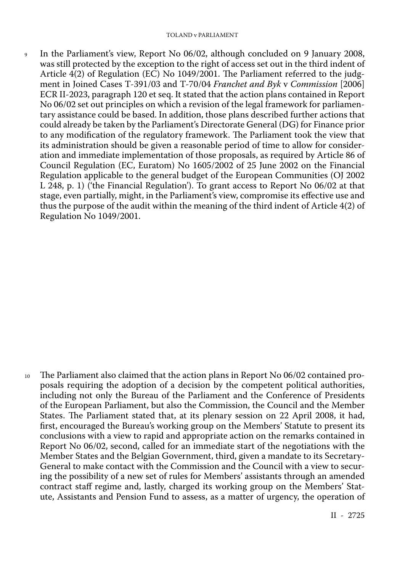<sup>9</sup> In the Parliament's view, Report No 06/02, although concluded on 9 January 2008, was still protected by the exception to the right of access set out in the third indent of Article 4(2) of Regulation (EC) No 1049/2001. The Parliament referred to the judg ment in Joined Cases T-391/03 and T-70/04 *Franchet and Byk* v *Commission* [2006] ECR II-2023, paragraph 120 et seq. It stated that the action plans contained in Report No 06/02 set out principles on which a revision of the legal framework for parliamen tary assistance could be based. In addition, those plans described further actions that could already be taken by the Parliament's Directorate General (DG) for Finance prior to any modification of the regulatory framework. The Parliament took the view that its administration should be given a reasonable period of time to allow for consideration and immediate implementation of those proposals, as required by Article 86 of Council Regulation (EC, Euratom) No 1605/2002 of 25 June 2002 on the Financial Regulation applicable to the general budget of the European Communities (OJ 2002 L 248, p. 1) ('the Financial Regulation'). To grant access to Report No 06/02 at that stage, even partially, might, in the Parliament's view, compromise its effective use and thus the purpose of the audit within the meaning of the third indent of Article 4(2) of Regulation No 1049/2001.

<sup>10</sup> The Parliament also claimed that the action plans in Report No 06/02 contained pro posals requiring the adoption of a decision by the competent political authorities, including not only the Bureau of the Parliament and the Conference of Presidents of the European Parliament, but also the Commission, the Council and the Member States. The Parliament stated that, at its plenary session on 22 April 2008, it had, first, encouraged the Bureau's working group on the Members' Statute to present its conclusions with a view to rapid and appropriate action on the remarks contained in Report No 06/02, second, called for an immediate start of the negotiations with the Member States and the Belgian Government, third, given a mandate to its Secretary-General to make contact with the Commission and the Council with a view to secur ing the possibility of a new set of rules for Members' assistants through an amended contract staff regime and, lastly, charged its working group on the Members' Stat ute, Assistants and Pension Fund to assess, as a matter of urgency, the operation of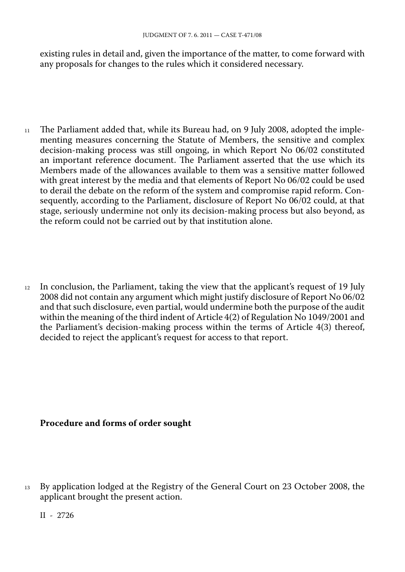existing rules in detail and, given the importance of the matter, to come forward with any proposals for changes to the rules which it considered necessary.

- $11$  The Parliament added that, while its Bureau had, on 9 July 2008, adopted the implementing measures concerning the Statute of Members, the sensitive and complex decision-making process was still ongoing, in which Report No 06/02 constituted an important reference document. The Parliament asserted that the use which its Members made of the allowances available to them was a sensitive matter followed with great interest by the media and that elements of Report No 06/02 could be used to derail the debate on the reform of the system and compromise rapid reform. Con sequently, according to the Parliament, disclosure of Report No 06/02 could, at that stage, seriously undermine not only its decision-making process but also beyond, as the reform could not be carried out by that institution alone.
- <sup>12</sup> In conclusion, the Parliament, taking the view that the applicant's request of 19 July 2008 did not contain any argument which might justify disclosure of Report No 06/02 and that such disclosure, even partial, would undermine both the purpose of the audit within the meaning of the third indent of Article 4(2) of Regulation No 1049/2001 and the Parliament's decision-making process within the terms of Article 4(3) thereof, decided to reject the applicant's request for access to that report.

## **Procedure and forms of order sought**

<sup>13</sup> By application lodged at the Registry of the General Court on 23 October 2008, the applicant brought the present action.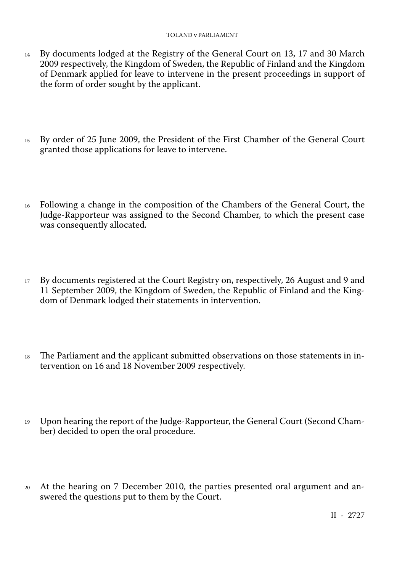- <sup>14</sup> By documents lodged at the Registry of the General Court on 13, 17 and 30 March 2009 respectively, the Kingdom of Sweden, the Republic of Finland and the Kingdom of Denmark applied for leave to intervene in the present proceedings in support of the form of order sought by the applicant.
- <sup>15</sup> By order of 25 June 2009, the President of the First Chamber of the General Court granted those applications for leave to intervene.
- <sup>16</sup> Following a change in the composition of the Chambers of the General Court, the Judge-Rapporteur was assigned to the Second Chamber, to which the present case was consequently allocated.
- <sup>17</sup> By documents registered at the Court Registry on, respectively, 26 August and 9 and 11 September 2009, the Kingdom of Sweden, the Republic of Finland and the King dom of Denmark lodged their statements in intervention.
- <sup>18</sup> The Parliament and the applicant submitted observations on those statements in in tervention on 16 and 18 November 2009 respectively.
- <sup>19</sup> Upon hearing the report of the Judge-Rapporteur, the General Court (Second Cham ber) decided to open the oral procedure.
- <sup>20</sup> At the hearing on 7 December 2010, the parties presented oral argument and an swered the questions put to them by the Court.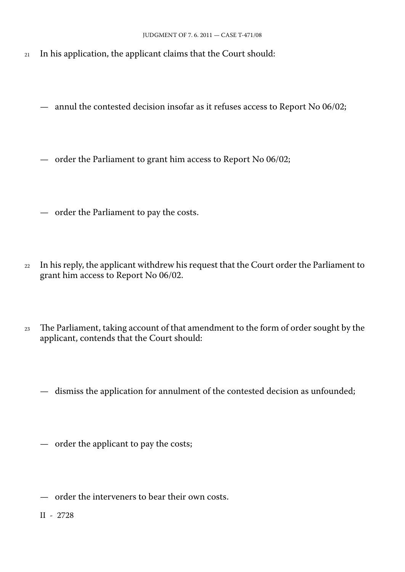- <sup>21</sup> In his application, the applicant claims that the Court should:
	- annul the contested decision insofar as it refuses access to Report No 06/02;
	- order the Parliament to grant him access to Report No 06/02;
	- order the Parliament to pay the costs.
- <sup>22</sup> In his reply, the applicant withdrew his request that the Court order the Parliament to grant him access to Report No 06/02.
- <sup>23</sup> The Parliament, taking account of that amendment to the form of order sought by the applicant, contends that the Court should:
	- dismiss the application for annulment of the contested decision as unfounded;
	- order the applicant to pay the costs;
	- order the interveners to bear their own costs.
	- II 2728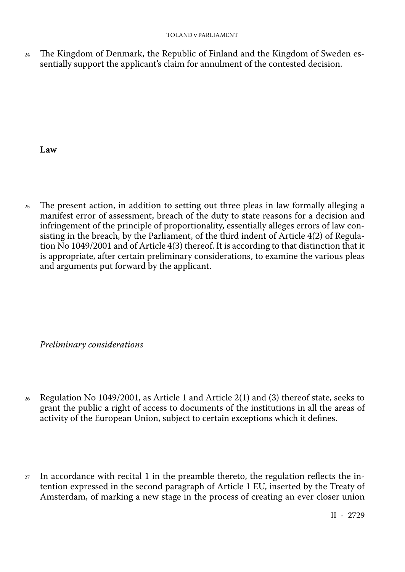<sup>24</sup> The Kingdom of Denmark, the Republic of Finland and the Kingdom of Sweden es sentially support the applicant's claim for annulment of the contested decision.

**Law**

<sup>25</sup> The present action, in addition to setting out three pleas in law formally alleging a manifest error of assessment, breach of the duty to state reasons for a decision and infringement of the principle of proportionality, essentially alleges errors of law con sisting in the breach, by the Parliament, of the third indent of Article 4(2) of Regula tion No 1049/2001 and of Article 4(3) thereof. It is according to that distinction that it is appropriate, after certain preliminary considerations, to examine the various pleas and arguments put forward by the applicant.

*Preliminary considerations*

- <sup>26</sup> Regulation No 1049/2001, as Article 1 and Article 2(1) and (3) thereof state, seeks to grant the public a right of access to documents of the institutions in all the areas of activity of the European Union, subject to certain exceptions which it defines.
- $27$  In accordance with recital 1 in the preamble thereto, the regulation reflects the intention expressed in the second paragraph of Article 1 EU, inserted by the Treaty of Amsterdam, of marking a new stage in the process of creating an ever closer union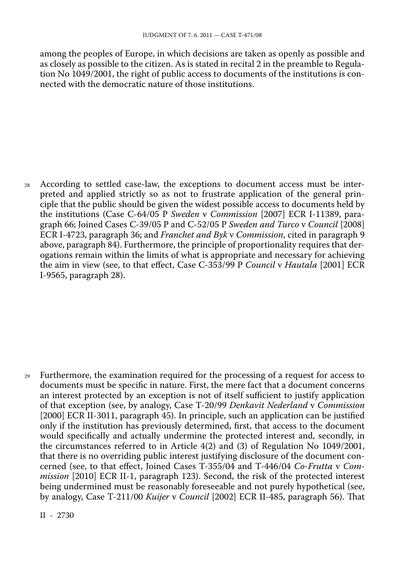among the peoples of Europe, in which decisions are taken as openly as possible and as closely as possible to the citizen. As is stated in recital 2 in the preamble to Regula tion No 1049/2001, the right of public access to documents of the institutions is con nected with the democratic nature of those institutions.

<sup>28</sup> According to settled case-law, the exceptions to document access must be inter preted and applied strictly so as not to frustrate application of the general principle that the public should be given the widest possible access to documents held by the institutions (Case C-64/05 P *Sweden* v *Commission* [2007] ECR I-11389, para graph 66; Joined Cases C-39/05 P and C-52/05 P *Sweden and Turco* v *Council* [2008] ECR I-4723, paragraph 36; and *Franchet and Byk* v *Commission*, cited in paragraph 9 above, paragraph 84). Furthermore, the principle of proportionality requires that der ogations remain within the limits of what is appropriate and necessary for achieving the aim in view (see, to that effect, Case C-353/99 P *Council* v *Hautala* [2001] ECR I-9565, paragraph 28).

Furthermore, the examination required for the processing of a request for access to documents must be specific in nature. First, the mere fact that a document concerns an interest protected by an exception is not of itself sufficient to justify application of that exception (see, by analogy, Case T-20/99 *Denkavit Nederland* v *Commission* [2000] ECR II-3011, paragraph 45). In principle, such an application can be justified only if the institution has previously determined, first, that access to the document would specifically and actually undermine the protected interest and, secondly, in the circumstances referred to in Article 4(2) and (3) of Regulation No 1049/2001, that there is no overriding public interest justifying disclosure of the document con cerned (see, to that effect, Joined Cases T-355/04 and T-446/04 *Co-Frutta* v *Com mission* [2010] ECR II-1, paragraph 123). Second, the risk of the protected interest being undermined must be reasonably foreseeable and not purely hypothetical (see, by analogy, Case T-211/00 *Kuijer* v *Council* [2002] ECR II-485, paragraph 56). That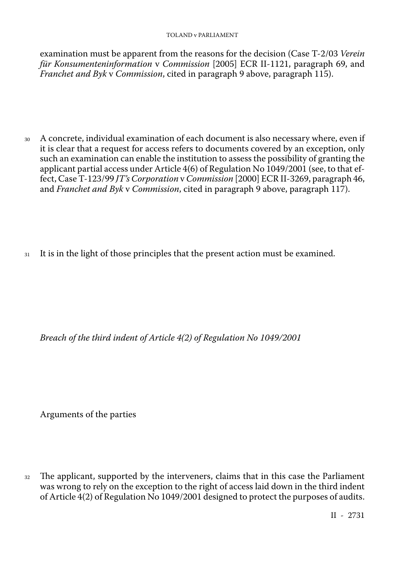examination must be apparent from the reasons for the decision (Case T-2/03 *Verein für Konsumenteninformation* v *Commission* [2005] ECR II-1121, paragraph 69, and *Franchet and Byk* v *Commission*, cited in paragraph 9 above, paragraph 115).

- <sup>30</sup> A concrete, individual examination of each document is also necessary where, even if it is clear that a request for access refers to documents covered by an exception, only such an examination can enable the institution to assess the possibility of granting the applicant partial access under Article 4(6) of Regulation No 1049/2001 (see, to that ef fect, Case T-123/99 *JT's Corporation* v *Commission* [2000] ECR II-3269, paragraph 46, and *Franchet and Byk* v *Commission*, cited in paragraph 9 above, paragraph 117).
- <sup>31</sup> It is in the light of those principles that the present action must be examined.

*Breach of the third indent of Article 4(2) of Regulation No 1049/2001*

Arguments of the parties

<sup>32</sup> The applicant, supported by the interveners, claims that in this case the Parliament was wrong to rely on the exception to the right of access laid down in the third indent of Article 4(2) of Regulation No 1049/2001 designed to protect the purposes of audits.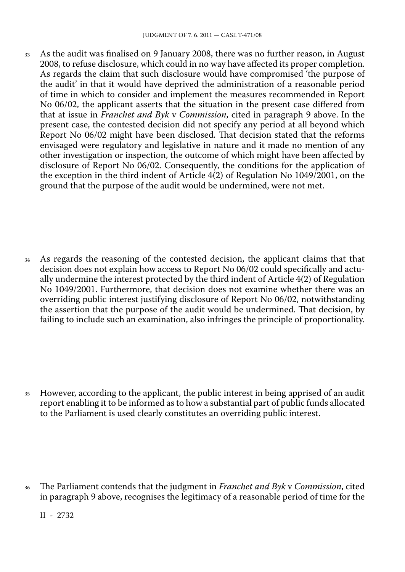<sup>33</sup> As the audit was finalised on 9 January 2008, there was no further reason, in August 2008, to refuse disclosure, which could in no way have affected its proper completion. As regards the claim that such disclosure would have compromised 'the purpose of the audit' in that it would have deprived the administration of a reasonable period of time in which to consider and implement the measures recommended in Report No 06/02, the applicant asserts that the situation in the present case differed from that at issue in *Franchet and Byk* v *Commission*, cited in paragraph 9 above. In the present case, the contested decision did not specify any period at all beyond which Report No 06/02 might have been disclosed. That decision stated that the reforms envisaged were regulatory and legislative in nature and it made no mention of any other investigation or inspection, the outcome of which might have been affected by disclosure of Report No 06/02. Consequently, the conditions for the application of the exception in the third indent of Article 4(2) of Regulation No 1049/2001, on the ground that the purpose of the audit would be undermined, were not met.

<sup>34</sup> As regards the reasoning of the contested decision, the applicant claims that that decision does not explain how access to Report No 06/02 could specifically and actu ally undermine the interest protected by the third indent of Article 4(2) of Regulation No 1049/2001. Furthermore, that decision does not examine whether there was an overriding public interest justifying disclosure of Report No 06/02, notwithstanding the assertion that the purpose of the audit would be undermined. That decision, by failing to include such an examination, also infringes the principle of proportionality.

<sup>35</sup> However, according to the applicant, the public interest in being apprised of an audit report enabling it to be informed as to how a substantial part of public funds allocated to the Parliament is used clearly constitutes an overriding public interest.

<sup>36</sup> The Parliament contends that the judgment in *Franchet and Byk* v *Commission*, cited in paragraph 9 above, recognises the legitimacy of a reasonable period of time for the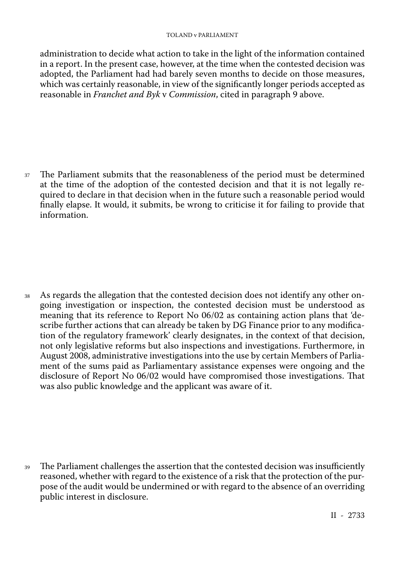#### TOLAND v PARLIAMENT

administration to decide what action to take in the light of the information contained in a report. In the present case, however, at the time when the contested decision was adopted, the Parliament had had barely seven months to decide on those measures, which was certainly reasonable, in view of the significantly longer periods accepted as reasonable in *Franchet and Byk* v *Commission*, cited in paragraph 9 above.

<sup>37</sup> The Parliament submits that the reasonableness of the period must be determined at the time of the adoption of the contested decision and that it is not legally re quired to declare in that decision when in the future such a reasonable period would finally elapse. It would, it submits, be wrong to criticise it for failing to provide that information.

<sup>38</sup> As regards the allegation that the contested decision does not identify any other ongoing investigation or inspection, the contested decision must be understood as meaning that its reference to Report No 06/02 as containing action plans that 'de scribe further actions that can already be taken by DG Finance prior to any modifica tion of the regulatory framework' clearly designates, in the context of that decision, not only legislative reforms but also inspections and investigations. Furthermore, in August 2008, administrative investigations into the use by certain Members of Parlia ment of the sums paid as Parliamentary assistance expenses were ongoing and the disclosure of Report No 06/02 would have compromised those investigations. That was also public knowledge and the applicant was aware of it.

<sup>39</sup> The Parliament challenges the assertion that the contested decision was insufficiently reasoned, whether with regard to the existence of a risk that the protection of the pur pose of the audit would be undermined or with regard to the absence of an overriding public interest in disclosure.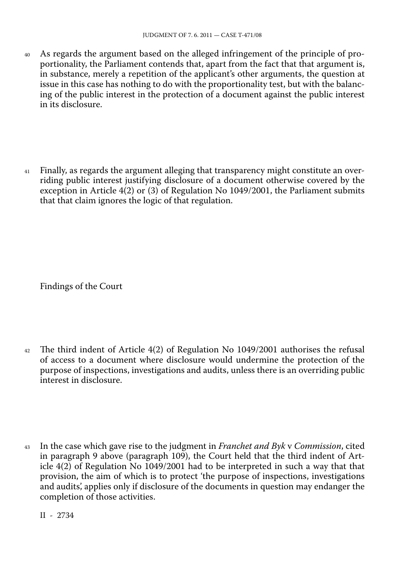- <sup>40</sup> As regards the argument based on the alleged infringement of the principle of pro portionality, the Parliament contends that, apart from the fact that that argument is, in substance, merely a repetition of the applicant's other arguments, the question at issue in this case has nothing to do with the proportionality test, but with the balanc ing of the public interest in the protection of a document against the public interest in its disclosure.
- <sup>41</sup> Finally, as regards the argument alleging that transparency might constitute an over riding public interest justifying disclosure of a document otherwise covered by the exception in Article 4(2) or (3) of Regulation No 1049/2001, the Parliament submits that that claim ignores the logic of that regulation.

Findings of the Court

- <sup>42</sup> The third indent of Article 4(2) of Regulation No 1049/2001 authorises the refusal of access to a document where disclosure would undermine the protection of the purpose of inspections, investigations and audits, unless there is an overriding public interest in disclosure.
- <sup>43</sup> In the case which gave rise to the judgment in *Franchet and Byk* v *Commission*, cited in paragraph 9 above (paragraph 109), the Court held that the third indent of Article 4(2) of Regulation No 1049/2001 had to be interpreted in such a way that that provision, the aim of which is to protect 'the purpose of inspections, investigations and audits', applies only if disclosure of the documents in question may endanger the completion of those activities.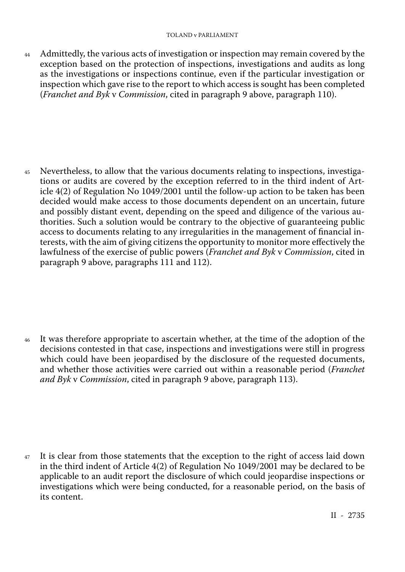44 Admittedly, the various acts of investigation or inspection may remain covered by the exception based on the protection of inspections, investigations and audits as long as the investigations or inspections continue, even if the particular investigation or inspection which gave rise to the report to which access is sought has been completed (*Franchet and Byk* v *Commission*, cited in paragraph 9 above, paragraph 110).

<sup>45</sup> Nevertheless, to allow that the various documents relating to inspections, investiga tions or audits are covered by the exception referred to in the third indent of Article 4(2) of Regulation No 1049/2001 until the follow-up action to be taken has been decided would make access to those documents dependent on an uncertain, future and possibly distant event, depending on the speed and diligence of the various au thorities. Such a solution would be contrary to the objective of guaranteeing public access to documents relating to any irregularities in the management of financial in terests, with the aim of giving citizens the opportunity to monitor more effectively the lawfulness of the exercise of public powers (*Franchet and Byk* v *Commission*, cited in paragraph 9 above, paragraphs 111 and 112).

<sup>46</sup> It was therefore appropriate to ascertain whether, at the time of the adoption of the decisions contested in that case, inspections and investigations were still in progress which could have been jeopardised by the disclosure of the requested documents, and whether those activities were carried out within a reasonable period (*Franchet and Byk* v *Commission*, cited in paragraph 9 above, paragraph 113).

<sup>47</sup> It is clear from those statements that the exception to the right of access laid down in the third indent of Article 4(2) of Regulation No 1049/2001 may be declared to be applicable to an audit report the disclosure of which could jeopardise inspections or investigations which were being conducted, for a reasonable period, on the basis of its content.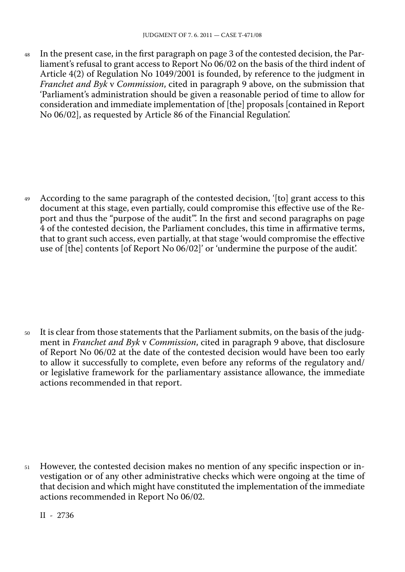<sup>48</sup> In the present case, in the first paragraph on page 3 of the contested decision, the Par liament's refusal to grant access to Report No 06/02 on the basis of the third indent of Article 4(2) of Regulation No 1049/2001 is founded, by reference to the judgment in *Franchet and Byk* v *Commission*, cited in paragraph 9 above, on the submission that 'Parliament's administration should be given a reasonable period of time to allow for consideration and immediate implementation of [the] proposals [contained in Report No 06/02], as requested by Article 86 of the Financial Regulation'.

<sup>49</sup> According to the same paragraph of the contested decision, '[to] grant access to this document at this stage, even partially, could compromise this effective use of the Re port and thus the "purpose of the audit"'. In the first and second paragraphs on page 4 of the contested decision, the Parliament concludes, this time in affirmative terms, that to grant such access, even partially, at that stage 'would compromise the effective use of [the] contents [of Report No 06/02]' or 'undermine the purpose of the audit'.

<sup>50</sup> It is clear from those statements that the Parliament submits, on the basis of the judg ment in *Franchet and Byk* v *Commission*, cited in paragraph 9 above, that disclosure of Report No 06/02 at the date of the contested decision would have been too early to allow it successfully to complete, even before any reforms of the regulatory and/ or legislative framework for the parliamentary assistance allowance, the immediate actions recommended in that report.

<sup>51</sup> However, the contested decision makes no mention of any specific inspection or in vestigation or of any other administrative checks which were ongoing at the time of that decision and which might have constituted the implementation of the immediate actions recommended in Report No 06/02.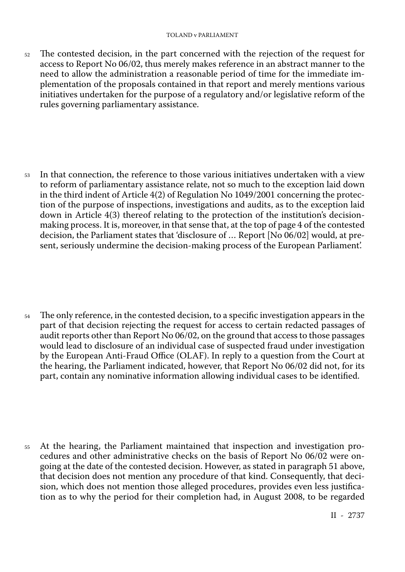<sup>52</sup> The contested decision, in the part concerned with the rejection of the request for access to Report No 06/02, thus merely makes reference in an abstract manner to the need to allow the administration a reasonable period of time for the immediate im plementation of the proposals contained in that report and merely mentions various initiatives undertaken for the purpose of a regulatory and/or legislative reform of the rules governing parliamentary assistance.

<sup>53</sup> In that connection, the reference to those various initiatives undertaken with a view to reform of parliamentary assistance relate, not so much to the exception laid down in the third indent of Article 4(2) of Regulation No 1049/2001 concerning the protec tion of the purpose of inspections, investigations and audits, as to the exception laid down in Article 4(3) thereof relating to the protection of the institution's decisionmaking process. It is, moreover, in that sense that, at the top of page 4 of the contested decision, the Parliament states that 'disclosure of … Report [No 06/02] would, at pre sent, seriously undermine the decision-making process of the European Parliament'.

<sup>54</sup> The only reference, in the contested decision, to a specific investigation appears in the part of that decision rejecting the request for access to certain redacted passages of audit reports other than Report No 06/02, on the ground that access to those passages would lead to disclosure of an individual case of suspected fraud under investigation by the European Anti-Fraud Office (OLAF). In reply to a question from the Court at the hearing, the Parliament indicated, however, that Report No 06/02 did not, for its part, contain any nominative information allowing individual cases to be identified.

<sup>55</sup> At the hearing, the Parliament maintained that inspection and investigation procedures and other administrative checks on the basis of Report No 06/02 were ongoing at the date of the contested decision. However, as stated in paragraph 51 above, that decision does not mention any procedure of that kind. Consequently, that deci sion, which does not mention those alleged procedures, provides even less justifica tion as to why the period for their completion had, in August 2008, to be regarded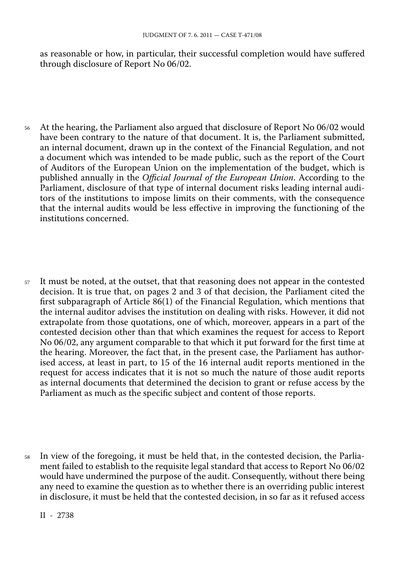as reasonable or how, in particular, their successful completion would have suffered through disclosure of Report No 06/02.

- <sup>56</sup> At the hearing, the Parliament also argued that disclosure of Report No 06/02 would have been contrary to the nature of that document. It is, the Parliament submitted, an internal document, drawn up in the context of the Financial Regulation, and not a document which was intended to be made public, such as the report of the Court of Auditors of the European Union on the implementation of the budget, which is published annually in the *Official Journal of the European Union*. According to the Parliament, disclosure of that type of internal document risks leading internal audi tors of the institutions to impose limits on their comments, with the consequence that the internal audits would be less effective in improving the functioning of the institutions concerned.
- <sup>57</sup> It must be noted, at the outset, that that reasoning does not appear in the contested decision. It is true that, on pages 2 and 3 of that decision, the Parliament cited the first subparagraph of Article 86(1) of the Financial Regulation, which mentions that the internal auditor advises the institution on dealing with risks. However, it did not extrapolate from those quotations, one of which, moreover, appears in a part of the contested decision other than that which examines the request for access to Report No 06/02, any argument comparable to that which it put forward for the first time at the hearing. Moreover, the fact that, in the present case, the Parliament has author ised access, at least in part, to 15 of the 16 internal audit reports mentioned in the request for access indicates that it is not so much the nature of those audit reports as internal documents that determined the decision to grant or refuse access by the Parliament as much as the specific subject and content of those reports.
- <sup>58</sup> In view of the foregoing, it must be held that, in the contested decision, the Parlia ment failed to establish to the requisite legal standard that access to Report No 06/02 would have undermined the purpose of the audit. Consequently, without there being any need to examine the question as to whether there is an overriding public interest in disclosure, it must be held that the contested decision, in so far as it refused access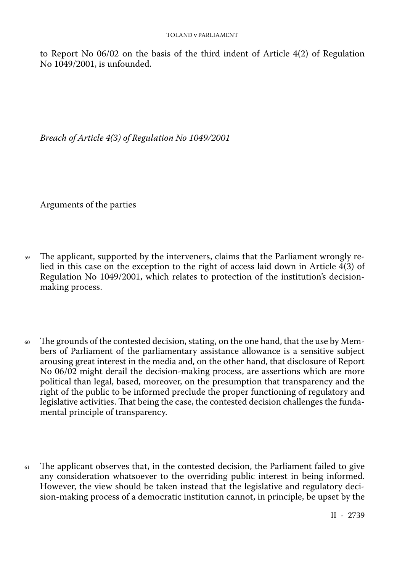to Report No 06/02 on the basis of the third indent of Article 4(2) of Regulation No 1049/2001, is unfounded.

*Breach of Article 4(3) of Regulation No 1049/2001*

Arguments of the parties

- <sup>59</sup> The applicant, supported by the interveners, claims that the Parliament wrongly re lied in this case on the exception to the right of access laid down in Article  $\frac{4(3)}{6}$  of Regulation No 1049/2001, which relates to protection of the institution's decisionmaking process.
- <sup>60</sup> The grounds of the contested decision, stating, on the one hand, that the use by Mem bers of Parliament of the parliamentary assistance allowance is a sensitive subject arousing great interest in the media and, on the other hand, that disclosure of Report No 06/02 might derail the decision-making process, are assertions which are more political than legal, based, moreover, on the presumption that transparency and the right of the public to be informed preclude the proper functioning of regulatory and legislative activities. That being the case, the contested decision challenges the funda mental principle of transparency.
- <sup>61</sup> The applicant observes that, in the contested decision, the Parliament failed to give any consideration whatsoever to the overriding public interest in being informed. However, the view should be taken instead that the legislative and regulatory deci sion-making process of a democratic institution cannot, in principle, be upset by the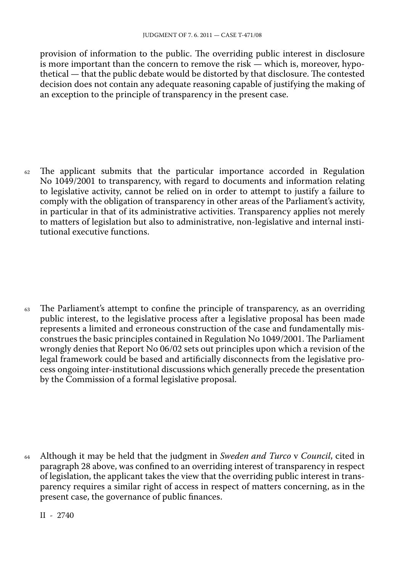provision of information to the public. The overriding public interest in disclosure is more important than the concern to remove the risk — which is, moreover, hypothetical — that the public debate would be distorted by that disclosure. The contested decision does not contain any adequate reasoning capable of justifying the making of an exception to the principle of transparency in the present case.

 $62$  The applicant submits that the particular importance accorded in Regulation No 1049/2001 to transparency, with regard to documents and information relating to legislative activity, cannot be relied on in order to attempt to justify a failure to comply with the obligation of transparency in other areas of the Parliament's activity, in particular in that of its administrative activities. Transparency applies not merely to matters of legislation but also to administrative, non-legislative and internal insti tutional executive functions.

 $63$  The Parliament's attempt to confine the principle of transparency, as an overriding public interest, to the legislative process after a legislative proposal has been made represents a limited and erroneous construction of the case and fundamentally mis construes the basic principles contained in Regulation No 1049/2001. The Parliament wrongly denies that Report No 06/02 sets out principles upon which a revision of the legal framework could be based and artificially disconnects from the legislative pro cess ongoing inter-institutional discussions which generally precede the presentation by the Commission of a formal legislative proposal.

<sup>64</sup> Although it may be held that the judgment in *Sweden and Turco* v *Council*, cited in paragraph 28 above, was confined to an overriding interest of transparency in respect of legislation, the applicant takes the view that the overriding public interest in trans parency requires a similar right of access in respect of matters concerning, as in the present case, the governance of public finances.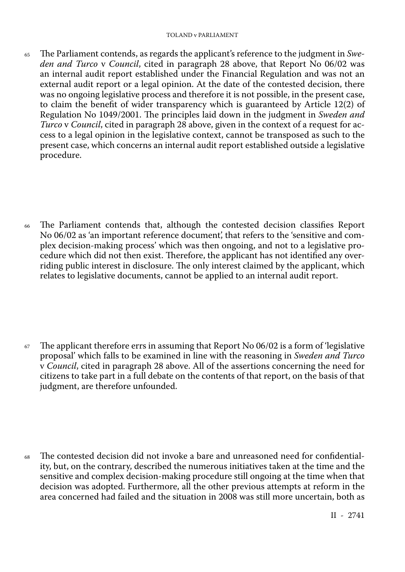<sup>65</sup> The Parliament contends, as regards the applicant's reference to the judgment in *Swe den and Turco* v *Council*, cited in paragraph 28 above, that Report No 06/02 was an internal audit report established under the Financial Regulation and was not an external audit report or a legal opinion. At the date of the contested decision, there was no ongoing legislative process and therefore it is not possible, in the present case, to claim the benefit of wider transparency which is guaranteed by Article 12(2) of Regulation No 1049/2001. The principles laid down in the judgment in *Sweden and Turco* v *Council*, cited in paragraph 28 above, given in the context of a request for ac cess to a legal opinion in the legislative context, cannot be transposed as such to the present case, which concerns an internal audit report established outside a legislative procedure.

<sup>66</sup> The Parliament contends that, although the contested decision classifies Report No 06/02 as 'an important reference document', that refers to the 'sensitive and com plex decision-making process' which was then ongoing, and not to a legislative pro cedure which did not then exist. Therefore, the applicant has not identified any over riding public interest in disclosure. The only interest claimed by the applicant, which relates to legislative documents, cannot be applied to an internal audit report.

 $67$  The applicant therefore errs in assuming that Report No 06/02 is a form of 'legislative' proposal' which falls to be examined in line with the reasoning in *Sweden and Turco* v *Council*, cited in paragraph 28 above. All of the assertions concerning the need for citizens to take part in a full debate on the contents of that report, on the basis of that judgment, are therefore unfounded.

<sup>68</sup> The contested decision did not invoke a bare and unreasoned need for confidential ity, but, on the contrary, described the numerous initiatives taken at the time and the sensitive and complex decision-making procedure still ongoing at the time when that decision was adopted. Furthermore, all the other previous attempts at reform in the area concerned had failed and the situation in 2008 was still more uncertain, both as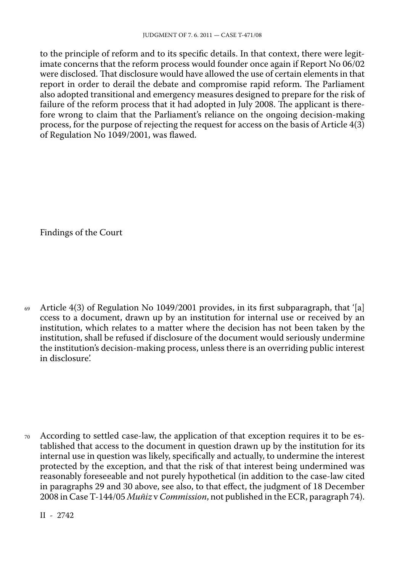to the principle of reform and to its specific details. In that context, there were legitimate concerns that the reform process would founder once again if Report No 06/02 were disclosed. That disclosure would have allowed the use of certain elements in that report in order to derail the debate and compromise rapid reform. The Parliament also adopted transitional and emergency measures designed to prepare for the risk of failure of the reform process that it had adopted in July 2008. The applicant is there fore wrong to claim that the Parliament's reliance on the ongoing decision-making process, for the purpose of rejecting the request for access on the basis of Article 4(3) of Regulation No 1049/2001, was flawed.

Findings of the Court

 $69$  Article 4(3) of Regulation No 1049/2001 provides, in its first subparagraph, that '[a] ccess to a document, drawn up by an institution for internal use or received by an institution, which relates to a matter where the decision has not been taken by the institution, shall be refused if disclosure of the document would seriously undermine the institution's decision-making process, unless there is an overriding public interest in disclosure'.

<sup>70</sup> According to settled case-law, the application of that exception requires it to be es tablished that access to the document in question drawn up by the institution for its internal use in question was likely, specifically and actually, to undermine the interest protected by the exception, and that the risk of that interest being undermined was reasonably foreseeable and not purely hypothetical (in addition to the case-law cited in paragraphs 29 and 30 above, see also, to that effect, the judgment of 18 December 2008 in Case T-144/05 *Muñiz* v *Commission*, not published in the ECR, paragraph 74).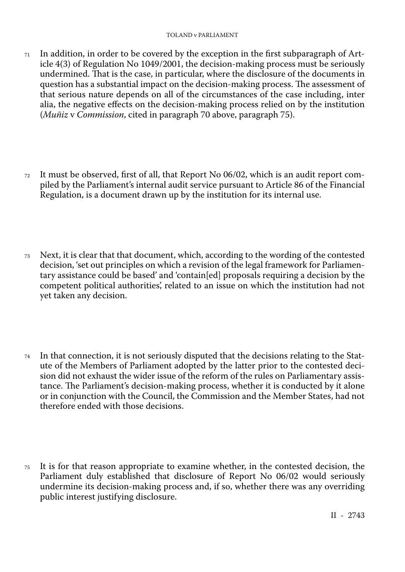- $71$  In addition, in order to be covered by the exception in the first subparagraph of Article 4(3) of Regulation No 1049/2001, the decision-making process must be seriously undermined. That is the case, in particular, where the disclosure of the documents in question has a substantial impact on the decision-making process. The assessment of that serious nature depends on all of the circumstances of the case including, inter alia, the negative effects on the decision-making process relied on by the institution (*Muñiz* v *Commission*, cited in paragraph 70 above, paragraph 75).
- <sup>72</sup> It must be observed, first of all, that Report No 06/02, which is an audit report com piled by the Parliament's internal audit service pursuant to Article 86 of the Financial Regulation, is a document drawn up by the institution for its internal use.
- <sup>73</sup> Next, it is clear that that document, which, according to the wording of the contested decision, 'set out principles on which a revision of the legal framework for Parliamen tary assistance could be based' and 'contain[ed] proposals requiring a decision by the competent political authorities', related to an issue on which the institution had not yet taken any decision.
- $74$  In that connection, it is not seriously disputed that the decisions relating to the Statute of the Members of Parliament adopted by the latter prior to the contested deci sion did not exhaust the wider issue of the reform of the rules on Parliamentary assis tance. The Parliament's decision-making process, whether it is conducted by it alone or in conjunction with the Council, the Commission and the Member States, had not therefore ended with those decisions.
- <sup>75</sup> It is for that reason appropriate to examine whether, in the contested decision, the Parliament duly established that disclosure of Report No 06/02 would seriously undermine its decision-making process and, if so, whether there was any overriding public interest justifying disclosure.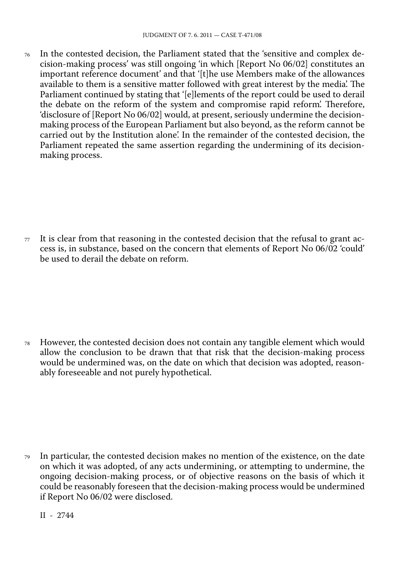<sup>76</sup> In the contested decision, the Parliament stated that the 'sensitive and complex de cision-making process' was still ongoing 'in which [Report No 06/02] constitutes an important reference document' and that '[t]he use Members make of the allowances available to them is a sensitive matter followed with great interest by the media'. The Parliament continued by stating that '[e]lements of the report could be used to derail the debate on the reform of the system and compromise rapid reform'. Therefore, 'disclosure of [Report No 06/02] would, at present, seriously undermine the decisionmaking process of the European Parliament but also beyond, as the reform cannot be carried out by the Institution alone'. In the remainder of the contested decision, the Parliament repeated the same assertion regarding the undermining of its decisionmaking process.

 $77$  It is clear from that reasoning in the contested decision that the refusal to grant access is, in substance, based on the concern that elements of Report No 06/02 'could' be used to derail the debate on reform.

<sup>78</sup> However, the contested decision does not contain any tangible element which would allow the conclusion to be drawn that that risk that the decision-making process would be undermined was, on the date on which that decision was adopted, reason ably foreseeable and not purely hypothetical.

<sup>79</sup> In particular, the contested decision makes no mention of the existence, on the date on which it was adopted, of any acts undermining, or attempting to undermine, the ongoing decision-making process, or of objective reasons on the basis of which it could be reasonably foreseen that the decision-making process would be undermined if Report No 06/02 were disclosed.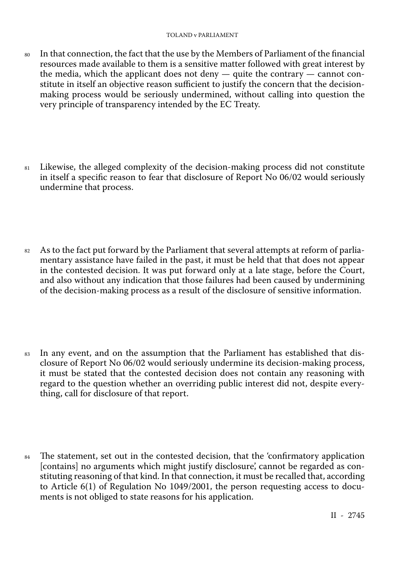- <sup>80</sup> In that connection, the fact that the use by the Members of Parliament of the financial resources made available to them is a sensitive matter followed with great interest by the media, which the applicant does not deny - quite the contrary - cannot constitute in itself an objective reason sufficient to justify the concern that the decisionmaking process would be seriously undermined, without calling into question the very principle of transparency intended by the EC Treaty.
- <sup>81</sup> Likewise, the alleged complexity of the decision-making process did not constitute in itself a specific reason to fear that disclosure of Report No 06/02 would seriously undermine that process.
- <sup>82</sup> As to the fact put forward by the Parliament that several attempts at reform of parlia mentary assistance have failed in the past, it must be held that that does not appear in the contested decision. It was put forward only at a late stage, before the Court, and also without any indication that those failures had been caused by undermining of the decision-making process as a result of the disclosure of sensitive information.
- 83 In any event, and on the assumption that the Parliament has established that disclosure of Report No 06/02 would seriously undermine its decision-making process, it must be stated that the contested decision does not contain any reasoning with regard to the question whether an overriding public interest did not, despite every thing, call for disclosure of that report.
- <sup>84</sup> The statement, set out in the contested decision, that the 'confirmatory application [contains] no arguments which might justify disclosure', cannot be regarded as con stituting reasoning of that kind. In that connection, it must be recalled that, according to Article 6(1) of Regulation No 1049/2001, the person requesting access to docu ments is not obliged to state reasons for his application.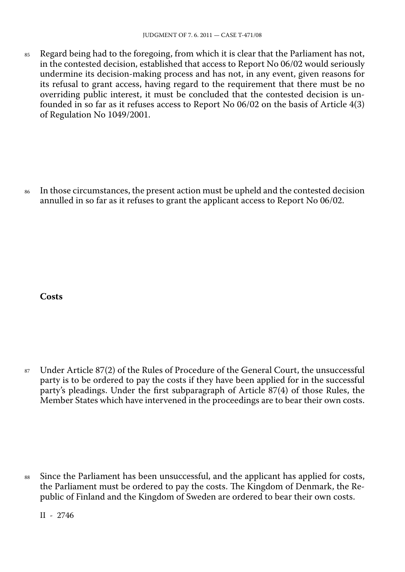85 Regard being had to the foregoing, from which it is clear that the Parliament has not, in the contested decision, established that access to Report No 06/02 would seriously undermine its decision-making process and has not, in any event, given reasons for its refusal to grant access, having regard to the requirement that there must be no overriding public interest, it must be concluded that the contested decision is un founded in so far as it refuses access to Report No 06/02 on the basis of Article 4(3) of Regulation No 1049/2001.

86 In those circumstances, the present action must be upheld and the contested decision annulled in so far as it refuses to grant the applicant access to Report No 06/02.

**Costs**

<sup>87</sup> Under Article 87(2) of the Rules of Procedure of the General Court, the unsuccessful party is to be ordered to pay the costs if they have been applied for in the successful party's pleadings. Under the first subparagraph of Article 87(4) of those Rules, the Member States which have intervened in the proceedings are to bear their own costs.

<sup>88</sup> Since the Parliament has been unsuccessful, and the applicant has applied for costs, the Parliament must be ordered to pay the costs. The Kingdom of Denmark, the Re public of Finland and the Kingdom of Sweden are ordered to bear their own costs.